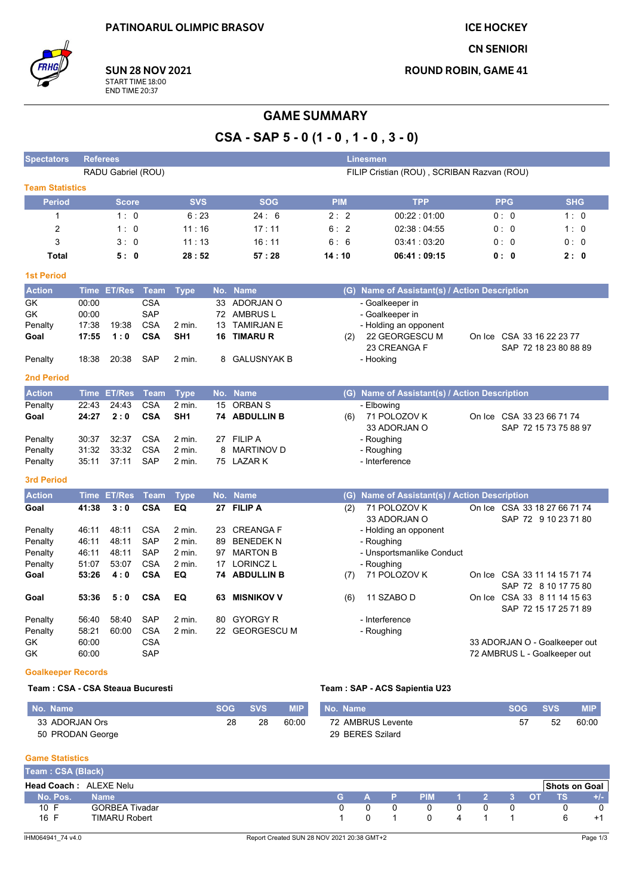**ICE HOCKEY** 

**CN SENIORI** 

**ROUND ROBIN, GAME 41** 

**SUN 28 NOV 2021** START TIME 18:00<br>END TIME 20:37

# **GAME SUMMARY**

CSA - SAP  $5 - 0$  (1 - 0, 1 - 0, 3 - 0)

| <b>Spectators</b>         | Linesmen<br><b>Referees</b>                                      |              |             |                 |    |                    |            |                                               |  |                           |                                                      |
|---------------------------|------------------------------------------------------------------|--------------|-------------|-----------------|----|--------------------|------------|-----------------------------------------------|--|---------------------------|------------------------------------------------------|
|                           | RADU Gabriel (ROU)<br>FILIP Cristian (ROU), SCRIBAN Razvan (ROU) |              |             |                 |    |                    |            |                                               |  |                           |                                                      |
| <b>Team Statistics</b>    |                                                                  |              |             |                 |    |                    |            |                                               |  |                           |                                                      |
| <b>Period</b>             |                                                                  | <b>Score</b> |             | <b>SVS</b>      |    | <b>SOG</b>         | <b>PIM</b> | <b>TPP</b>                                    |  | <b>PPG</b>                | <b>SHG</b>                                           |
| $\mathbf{1}$              |                                                                  | 1:0          |             | 6:23            |    | 24:6               | 2:2        | 00:22:01:00                                   |  | 0: 0                      | 1:0                                                  |
| 2                         |                                                                  | 1:0          |             | 11:16           |    | 17:11              | 6:2        | 02:38:04:55                                   |  | 0: 0                      | 1:0                                                  |
| 3                         |                                                                  | 3:0          |             | 11:13           |    | 16:11              | 6:6        | 03:41:03:20                                   |  | 0:0                       | 0:0                                                  |
| <b>Total</b>              |                                                                  | 5:0          |             | 28:52           |    | 57:28              | 14:10      | 06:41:09:15                                   |  | 0:0                       | 2:0                                                  |
| <b>1st Period</b>         |                                                                  |              |             |                 |    |                    |            |                                               |  |                           |                                                      |
| <b>Action</b>             |                                                                  | Time ET/Res  | Team        | <b>Type</b>     |    | No. Name           |            | (G) Name of Assistant(s) / Action Description |  |                           |                                                      |
| <b>GK</b>                 | 00:00                                                            |              | <b>CSA</b>  |                 |    | 33 ADORJAN O       |            | - Goalkeeper in                               |  |                           |                                                      |
| <b>GK</b>                 | 00:00                                                            |              | <b>SAP</b>  |                 |    | 72 AMBRUS L        |            | - Goalkeeper in                               |  |                           |                                                      |
| Penalty                   | 17:38                                                            | 19:38        | <b>CSA</b>  | $2$ min.        | 13 | <b>TAMIRJAN E</b>  |            | - Holding an opponent                         |  |                           |                                                      |
| Goal                      | 17:55                                                            | 1:0          | <b>CSA</b>  | SH <sub>1</sub> | 16 | <b>TIMARU R</b>    | (2)        | 22 GEORGESCU M<br>23 CREANGA F                |  | On Ice CSA 33 16 22 23 77 | SAP 72 18 23 80 88 89                                |
| Penalty                   | 18:38                                                            | 20:38        | <b>SAP</b>  | $2$ min.        | 8  | <b>GALUSNYAK B</b> |            | - Hooking                                     |  |                           |                                                      |
| <b>2nd Period</b>         |                                                                  |              |             |                 |    |                    |            |                                               |  |                           |                                                      |
| <b>Action</b>             |                                                                  | Time ET/Res  | <b>Team</b> | <b>Type</b>     |    | No. Name           |            | (G) Name of Assistant(s) / Action Description |  |                           |                                                      |
| Penalty                   | 22:43                                                            | 24:43        | <b>CSA</b>  | 2 min.          | 15 | ORBAN S            |            | - Elbowing                                    |  |                           |                                                      |
| Goal                      | 24:27                                                            | 2:0          | <b>CSA</b>  | SH <sub>1</sub> |    | 74 ABDULLIN B      | (6)        | 71 POLOZOV K                                  |  | On Ice CSA 33 23 66 71 74 |                                                      |
|                           |                                                                  |              |             |                 |    |                    |            | 33 ADORJAN O                                  |  |                           | SAP 72 15 73 75 88 97                                |
| Penalty                   | 30:37                                                            | 32:37        | <b>CSA</b>  | 2 min.          | 27 | <b>FILIP A</b>     |            | - Roughing                                    |  |                           |                                                      |
| Penalty                   | 31:32                                                            | 33:32        | <b>CSA</b>  | 2 min.          | 8  | <b>MARTINOV D</b>  |            | - Roughing                                    |  |                           |                                                      |
| Penalty                   | 35:11                                                            | 37:11        | <b>SAP</b>  | 2 min.          |    | 75 LAZAR K         |            | - Interference                                |  |                           |                                                      |
| <b>3rd Period</b>         |                                                                  |              |             |                 |    |                    |            |                                               |  |                           |                                                      |
| <b>Action</b>             |                                                                  | Time ET/Res  | <b>Team</b> | <b>Type</b>     |    | No. Name           |            | (G) Name of Assistant(s) / Action Description |  |                           |                                                      |
| Goal                      | 41:38                                                            | 3:0          | <b>CSA</b>  | EQ              | 27 | <b>FILIP A</b>     | (2)        | 71 POLOZOV K                                  |  |                           | On Ice CSA 33 18 27 66 71 74                         |
|                           |                                                                  |              |             |                 |    |                    |            | 33 ADORJAN O                                  |  |                           | SAP 72 9 10 23 71 80                                 |
| Penalty                   | 46:11                                                            | 48:11        | <b>CSA</b>  | $2$ min.        | 23 | <b>CREANGAF</b>    |            | - Holding an opponent                         |  |                           |                                                      |
| Penalty                   | 46:11                                                            | 48:11        | <b>SAP</b>  | $2$ min.        | 89 | <b>BENEDEK N</b>   |            | - Roughing                                    |  |                           |                                                      |
| Penalty                   | 46:11                                                            | 48:11        | <b>SAP</b>  | 2 min.          | 97 | <b>MARTON B</b>    |            | - Unsportsmanlike Conduct                     |  |                           |                                                      |
| Penalty                   | 51:07                                                            | 53:07        | <b>CSA</b>  | $2$ min.        | 17 | <b>LORINCZL</b>    |            | - Roughing                                    |  |                           |                                                      |
| Goal                      | 53:26                                                            | 4:0          | <b>CSA</b>  | EQ              |    | 74 ABDULLIN B      | (7)        | 71 POLOZOV K                                  |  |                           | On Ice CSA 33 11 14 15 71 74                         |
|                           |                                                                  |              |             |                 |    |                    |            |                                               |  |                           | SAP 72 8 10 17 75 80                                 |
| Goal                      | 53:36                                                            | 5:0          | <b>CSA</b>  | EQ              | 63 | <b>MISNIKOV V</b>  | (6)        | 11 SZABO D                                    |  |                           | On Ice CSA 33 8 11 14 15 63<br>SAP 72 15 17 25 71 89 |
| Penalty                   | 56:40                                                            | 58:40        | <b>SAP</b>  | $2$ min.        | 80 | <b>GYORGY R</b>    |            | - Interference                                |  |                           |                                                      |
| Penalty                   | 58:21                                                            | 60:00        | <b>CSA</b>  | $2$ min.        | 22 | <b>GEORGESCU M</b> |            | - Roughing                                    |  |                           |                                                      |
| GK                        | 60:00                                                            |              | <b>CSA</b>  |                 |    |                    |            |                                               |  |                           | 33 ADORJAN O - Goalkeeper out                        |
| GK                        | 60:00                                                            |              | <b>SAP</b>  |                 |    |                    |            |                                               |  |                           | 72 AMBRUS L - Goalkeeper out                         |
| <b>Goalkeeper Records</b> |                                                                  |              |             |                 |    |                    |            |                                               |  |                           |                                                      |
|                           |                                                                  |              |             |                 |    |                    |            |                                               |  |                           |                                                      |

#### Team: CSA - CSA Steaua Bucuresti

#### Team: SAP - ACS Sapientia U23

| No. Name         | <b>SOG</b> | <b>SVS</b> | <b>MIP</b> | No. Name          | <b>SOG</b> | <b>SVS</b> | MIP.  |
|------------------|------------|------------|------------|-------------------|------------|------------|-------|
| 33 ADORJAN Ors   | 28         | 28         | 60:00      | 72 AMBRUS Levente | 57         | 52         | 60:00 |
| 50 PRODAN George |            |            |            | 29 BERES Szilard  |            |            |       |

#### **Game Statistics**

| Team: CSA (Black)             |                      |    |  |              |                  |  |  |  |  |                      |     |
|-------------------------------|----------------------|----|--|--------------|------------------|--|--|--|--|----------------------|-----|
| <b>Head Coach: ALEXE Nelu</b> |                      |    |  |              |                  |  |  |  |  | <b>Shots on Goal</b> |     |
| No. Pos.                      | <b>Name</b>          | G. |  |              | A P PIM 1 2 3 OT |  |  |  |  | <b>ATS</b>           | +/- |
| 10 F                          | GORBEA Tivadar       |    |  | <sup>n</sup> |                  |  |  |  |  |                      |     |
| 16 F                          | <b>TIMARU Robert</b> |    |  |              |                  |  |  |  |  |                      | ٠   |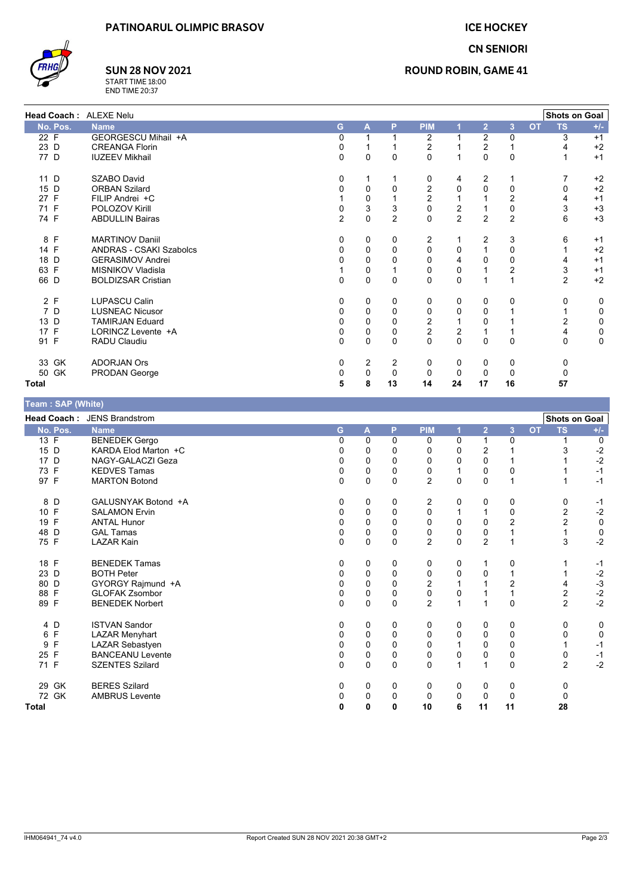



# **SUN 28 NOV 2021**

START TIME 18:00<br>END TIME 20:37

### **ROUND ROBIN, GAME 41**

| Head Coach: ALEXE Nelu |                                |          |   |                |                |                |                |                |           | <b>Shots on Goal</b> |       |
|------------------------|--------------------------------|----------|---|----------------|----------------|----------------|----------------|----------------|-----------|----------------------|-------|
| No. Pos.               | <b>Name</b>                    | G        | A | P              | <b>PIM</b>     |                | $\overline{2}$ | 3              | <b>OT</b> | <b>TS</b>            | $+/-$ |
| 22 F                   | GEORGESCU Mihail +A            | $\Omega$ |   |                | 2              |                | $\overline{2}$ | 0              |           | 3                    | $+1$  |
| 23 D                   | <b>CREANGA Florin</b>          | 0        |   |                | 2              |                | $\overline{2}$ |                |           |                      | $+2$  |
| 77 D                   | <b>IUZEEV Mikhail</b>          | 0        | 0 | 0              | 0              | 1              | $\Omega$       | $\mathbf 0$    |           |                      | $+1$  |
| 11 D                   | <b>SZABO David</b>             | 0        | 1 |                | 0              | 4              | 2              |                |           |                      | $+2$  |
| 15 D                   | <b>ORBAN Szilard</b>           | $\Omega$ | 0 | 0              | 2              | 0              | $\Omega$       | $\Omega$       |           | 0                    | $+2$  |
| 27 F                   | FILIP Andrei +C                |          | 0 |                | $\overline{2}$ |                |                | $\overline{2}$ |           |                      | $+1$  |
| 71 F                   | POLOZOV Kirill                 | 0        | 3 | 3              | $\pmb{0}$      | 2              |                | 0              |           | 3                    | $+3$  |
| 74 F                   | <b>ABDULLIN Bairas</b>         | 2        | 0 | $\overline{2}$ | $\mathbf 0$    | $\overline{2}$ | $\overline{2}$ | $\overline{2}$ |           | 6                    | $+3$  |
| 8 F                    | <b>MARTINOV Daniil</b>         | $\Omega$ | 0 | 0              | 2              |                | 2              | 3              |           | 6                    | $+1$  |
| 14 F                   | <b>ANDRAS - CSAKI Szabolcs</b> | 0        | 0 | $\mathbf{0}$   | 0              | 0              |                | 0              |           |                      | $+2$  |
| 18 D                   | <b>GERASIMOV Andrei</b>        | O        | 0 |                | $\mathbf 0$    | 4              | <sup>0</sup>   | 0              |           |                      | $+1$  |
| 63 F                   | MISNIKOV Vladisla              |          | 0 |                | 0              | 0              |                | $\overline{2}$ |           | 3                    | $+1$  |
| 66 D                   | <b>BOLDIZSAR Cristian</b>      | 0        | 0 | $\mathbf{0}$   | 0              | 0              |                |                |           | $\overline{2}$       | $+2$  |
| 2 F                    | <b>LUPASCU Calin</b>           | 0        | 0 | 0              | 0              | 0              | $\Omega$       | 0              |           | 0                    | 0     |
| 7 D                    | <b>LUSNEAC Nicusor</b>         | $\Omega$ | 0 | $\Omega$       | 0              | 0              | 0              |                |           |                      | 0     |
| 13 D                   | <b>TAMIRJAN Eduard</b>         | 0        | 0 | 0              | $\frac{2}{2}$  |                | $\Omega$       |                |           | 2                    | 0     |
| 17 F                   | LORINCZ Levente +A             | 0        | 0 | 0              |                | 2              |                |                |           |                      | 0     |
| 91 F                   | RADU Claudiu                   | $\Omega$ | 0 | $\Omega$       | $\Omega$       | $\Omega$       | $\Omega$       | $\Omega$       |           | $\Omega$             | 0     |
| 33 GK                  | <b>ADORJAN Ors</b>             | $\Omega$ | 2 | $\overline{2}$ | 0              | 0              | $\Omega$       | 0              |           | 0                    |       |
| 50 GK                  | PRODAN George                  | 0        | 0 | $\Omega$       | 0              | 0              | 0              | 0              |           | $\Omega$             |       |
| <b>Total</b>           |                                | 5        | 8 | 13             | 14             | 24             | 17             | 16             |           | 57                   |       |

| Team: SAP (White) |                             |   |             |             |                |             |                |                         |           |                      |           |
|-------------------|-----------------------------|---|-------------|-------------|----------------|-------------|----------------|-------------------------|-----------|----------------------|-----------|
|                   | Head Coach: JENS Brandstrom |   |             |             |                |             |                |                         |           | <b>Shots on Goal</b> |           |
| No. Pos.          | <b>Name</b>                 | G | A           | P           | <b>PIM</b>     | 1           | $\overline{2}$ | $\overline{\mathbf{3}}$ | <b>OT</b> | <b>TS</b>            | $+/-$     |
| 13 F              | <b>BENEDEK Gergo</b>        | 0 | 0           | $\mathbf 0$ | 0              | 0           | 1              | 0                       |           |                      | 0         |
| 15 D              | KARDA Elod Marton +C        | 0 | 0           | $\mathbf 0$ | 0              | 0           | 2              |                         |           |                      | $-2$      |
| 17 D              | NAGY-GALACZI Geza           | 0 | $\mathsf 0$ | 0           | 0              | $\mathbf 0$ | 0              |                         |           |                      | $-2$      |
| 73 F              | <b>KEDVES Tamas</b>         | 0 | 0           | 0           | 0              | 1           | 0              | 0                       |           |                      | $-1$      |
| 97 F              | <b>MARTON Botond</b>        | 0 | 0           | $\Omega$    | $\overline{2}$ | $\Omega$    | $\Omega$       | 1                       |           |                      | $-1$      |
| 8 D               | GALUSNYAK Botond +A         | 0 | 0           | 0           | 2              | 0           | 0              | 0                       |           | 0                    | $-1$      |
| 10 F              | <b>SALAMON Ervin</b>        | 0 | 0           | $\mathbf 0$ | 0              | 1           |                | 0                       |           | 2                    | $-2$      |
| 19 F              | <b>ANTAL Hunor</b>          | 0 | $\mathbf 0$ | $\Omega$    | 0              | 0           | 0              | $\overline{2}$          |           | $\overline{2}$       | $\pmb{0}$ |
| 48 D              | <b>GAL Tamas</b>            | 0 | $\mathsf 0$ | 0           | 0              | 0           | 0              |                         |           | $\mathbf{1}$         | 0         |
| 75 F              | <b>LAZAR Kain</b>           | 0 | 0           | $\mathbf 0$ | $\overline{2}$ | $\mathbf 0$ | $\overline{2}$ |                         |           | 3                    | $-2$      |
| 18 F              | <b>BENEDEK Tamas</b>        | 0 | 0           | 0           | 0              | 0           |                | 0                       |           |                      | $-1$      |
| 23 D              | <b>BOTH Peter</b>           | 0 | 0           | $\mathbf 0$ | 0              | 0           | 0              |                         |           |                      | $-2$      |
| 80 D              | GYORGY Rajmund +A           | 0 | $\mathsf 0$ | $\mathbf 0$ | $\overline{c}$ |             |                | $\overline{2}$          |           | 4                    | $-3$      |
| 88 F              | <b>GLOFAK Zsombor</b>       | 0 | 0           | $\pmb{0}$   | 0              | 0           |                |                         |           | 2                    | $-2$      |
| 89 F              | <b>BENEDEK Norbert</b>      | 0 | 0           | $\mathbf 0$ | $\overline{2}$ | 1           |                | $\Omega$                |           | $\overline{2}$       | $-2$      |
| 4 D               | <b>ISTVAN Sandor</b>        | 0 | 0           | 0           | 0              | 0           | 0              | 0                       |           | 0                    | 0         |
| 6 F               | <b>LAZAR Menyhart</b>       | 0 | 0           | $\mathbf 0$ | $\mathbf 0$    | $\mathbf 0$ | $\Omega$       | $\Omega$                |           | 0                    | 0         |
| 9 F               | LAZAR Sebastyen             | 0 | $\mathsf 0$ | 0           | 0              | 1           | 0              | 0                       |           |                      | $-1$      |
| 25 F              | <b>BANCEANU Levente</b>     | 0 | 0           | $\Omega$    | 0              | $\mathbf 0$ | 0              | $\Omega$                |           | 0                    | $-1$      |
| 71 F              | <b>SZENTES Szilard</b>      | 0 | 0           | $\mathbf 0$ | 0              | 1           | 1              | $\Omega$                |           | $\overline{2}$       | $-2$      |
| 29 GK             | <b>BERES Szilard</b>        | 0 | 0           | 0           | 0              | 0           | 0              | 0                       |           | 0                    |           |
| 72 GK             | <b>AMBRUS Levente</b>       | 0 | 0           | 0           | 0              | 0           | 0              | $\Omega$                |           | $\Omega$             |           |
| <b>Total</b>      |                             | 0 | 0           | 0           | 10             | 6           | 11             | 11                      |           | 28                   |           |